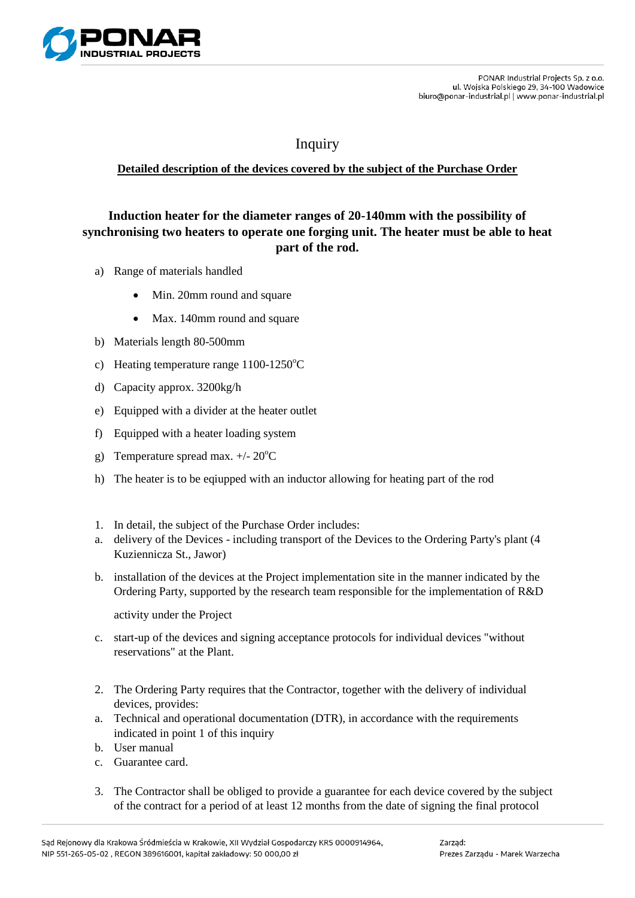

## Inquiry

## **Detailed description of the devices covered by the subject of the Purchase Order**

## **Induction heater for the diameter ranges of 20-140mm with the possibility of synchronising two heaters to operate one forging unit. The heater must be able to heat part of the rod.**

- a) Range of materials handled
	- Min. 20mm round and square
	- Max. 140mm round and square
- b) Materials length 80-500mm
- c) Heating temperature range  $1100-1250^{\circ}$ C
- d) Capacity approx. 3200kg/h
- e) Equipped with a divider at the heater outlet
- f) Equipped with a heater loading system
- g) Temperature spread max.  $+/- 20^{\circ}$ C
- h) The heater is to be eqiupped with an inductor allowing for heating part of the rod
- 1. In detail, the subject of the Purchase Order includes:
- a. delivery of the Devices including transport of the Devices to the Ordering Party's plant (4 Kuziennicza St., Jawor)
- b. installation of the devices at the Project implementation site in the manner indicated by the Ordering Party, supported by the research team responsible for the implementation of R&D

activity under the Project

- c. start-up of the devices and signing acceptance protocols for individual devices "without reservations" at the Plant.
- 2. The Ordering Party requires that the Contractor, together with the delivery of individual devices, provides:
- a. Technical and operational documentation (DTR), in accordance with the requirements indicated in point 1 of this inquiry
- b. User manual
- c. Guarantee card.
- 3. The Contractor shall be obliged to provide a guarantee for each device covered by the subject of the contract for a period of at least 12 months from the date of signing the final protocol